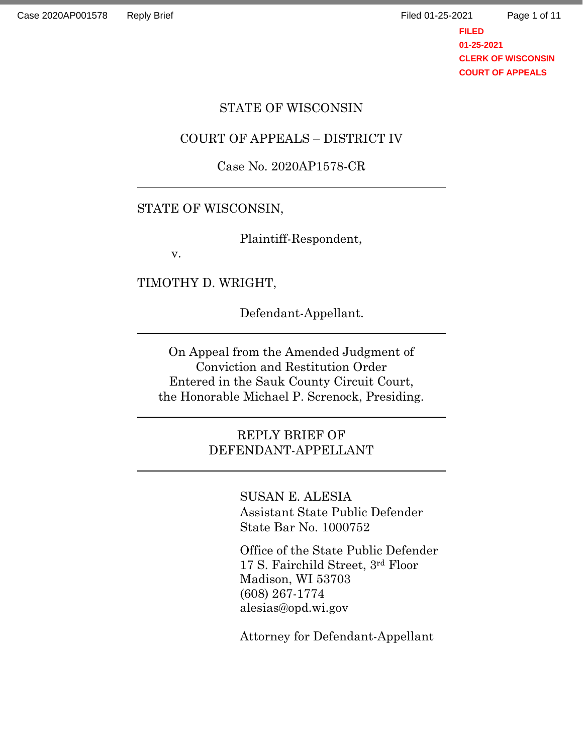Page 1 of 11

**FILED 01-25-2021 CLERK OF WISCONSIN COURT OF APPEALS**

#### STATE OF WISCONSIN

#### COURT OF APPEALS – DISTRICT IV

### Case No. 2020AP1578-CR

### STATE OF WISCONSIN,

Plaintiff-Respondent,

v.

TIMOTHY D. WRIGHT,

Defendant-Appellant.

On Appeal from the Amended Judgment of Conviction and Restitution Order Entered in the Sauk County Circuit Court, the Honorable Michael P. Screnock, Presiding.

> REPLY BRIEF OF DEFENDANT-APPELLANT

> > SUSAN E. ALESIA Assistant State Public Defender State Bar No. 1000752

Office of the State Public Defender 17 S. Fairchild Street, 3rd Floor Madison, WI 53703 (608) 267-1774 alesias@opd.wi.gov

Attorney for Defendant-Appellant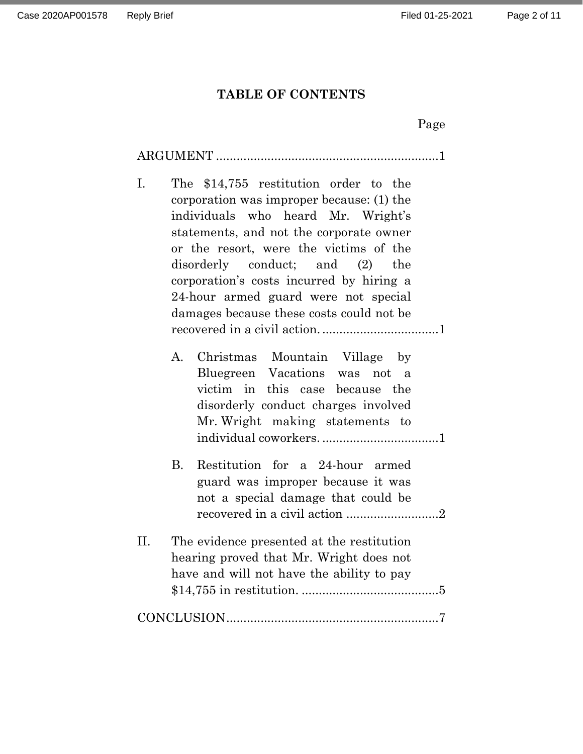## **TABLE OF CONTENTS**

|--|

| Ι. | The \$14,755 restitution order to the<br>corporation was improper because: (1) the<br>individuals who heard Mr. Wright's<br>statements, and not the corporate owner<br>or the resort, were the victims of the<br>disorderly conduct; and (2) the<br>corporation's costs incurred by hiring a<br>24-hour armed guard were not special<br>damages because these costs could not be |
|----|----------------------------------------------------------------------------------------------------------------------------------------------------------------------------------------------------------------------------------------------------------------------------------------------------------------------------------------------------------------------------------|
|    | $A_{\cdot}$<br>Christmas Mountain Village by<br>Bluegreen Vacations was not<br>a<br>victim in<br>this case because the<br>disorderly conduct charges involved<br>Mr. Wright making statements to                                                                                                                                                                                 |
|    | Restitution for a 24-hour armed<br><b>B.</b><br>guard was improper because it was<br>not a special damage that could be                                                                                                                                                                                                                                                          |
| Π. | The evidence presented at the restitution<br>hearing proved that Mr. Wright does not<br>have and will not have the ability to pay                                                                                                                                                                                                                                                |
|    |                                                                                                                                                                                                                                                                                                                                                                                  |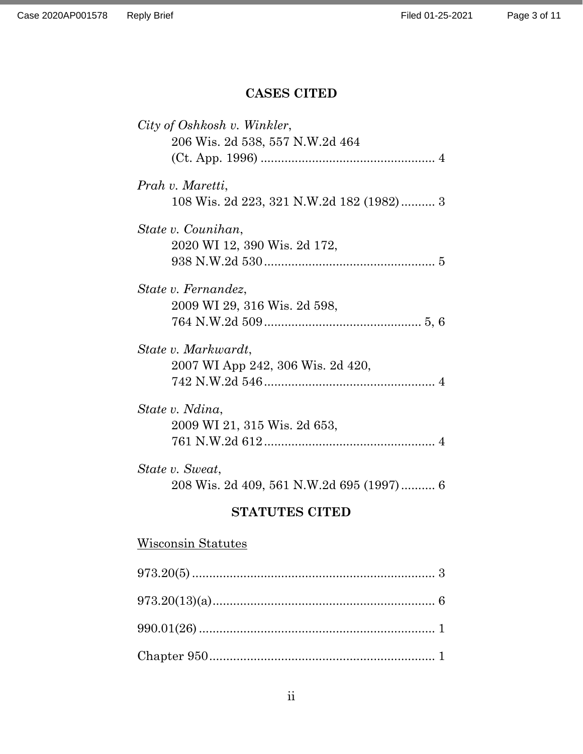### **CASES CITED**

| City of Oshkosh v. Winkler,              |
|------------------------------------------|
| 206 Wis. 2d 538, 557 N.W.2d 464          |
|                                          |
| Prah v. Maretti,                         |
| 108 Wis. 2d 223, 321 N.W.2d 182 (1982) 3 |
| State v. Counihan,                       |
| 2020 WI 12, 390 Wis. 2d 172,             |
|                                          |
| State v. Fernandez,                      |
| 2009 WI 29, 316 Wis. 2d 598,             |
|                                          |
| State v. Markwardt,                      |
| 2007 WI App 242, 306 Wis. 2d 420,        |
|                                          |
| State v. Ndina,                          |
| 2009 WI 21, 315 Wis. 2d 653,             |
|                                          |
| State v. Sweat,                          |
| 208 Wis. 2d 409, 561 N.W.2d 695 (1997) 6 |
|                                          |

## **STATUTES CITED**

# Wisconsin Statutes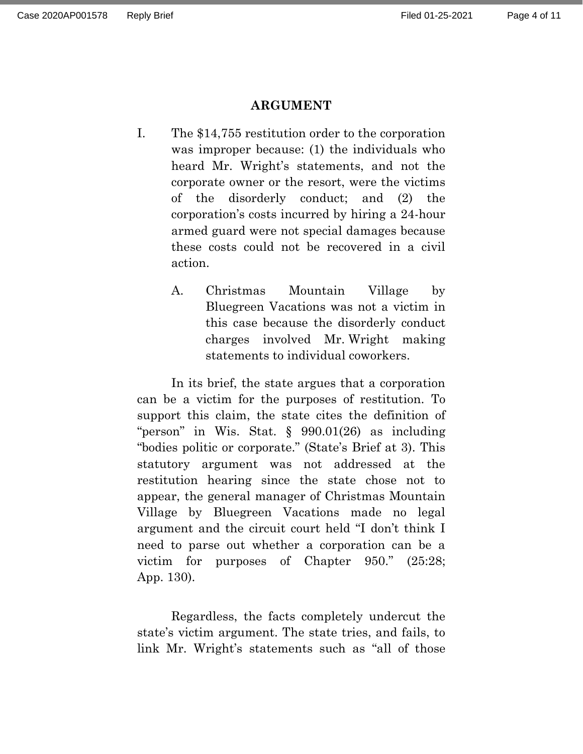### **ARGUMENT**

- I. The \$14,755 restitution order to the corporation was improper because: (1) the individuals who heard Mr. Wright's statements, and not the corporate owner or the resort, were the victims of the disorderly conduct; and (2) the corporation's costs incurred by hiring a 24-hour armed guard were not special damages because these costs could not be recovered in a civil action.
	- A. Christmas Mountain Village by Bluegreen Vacations was not a victim in this case because the disorderly conduct charges involved Mr. Wright making statements to individual coworkers.

<span id="page-3-0"></span>In its brief, the state argues that a corporation can be a victim for the purposes of restitution. To support this claim, the state cites the definition of "person" in Wis. Stat. § 990.01(26) as including "bodies politic or corporate." (State's Brief at 3). This statutory argument was not addressed at the restitution hearing since the state chose not to appear, the general manager of Christmas Mountain Village by Bluegreen Vacations made no legal argument and the circuit court held "I don't think I need to parse out whether a corporation can be a victim for purposes of Chapter 950." (25:28; App. 130).

Regardless, the facts completely undercut the state's victim argument. The state tries, and fails, to link Mr. Wright's statements such as "all of those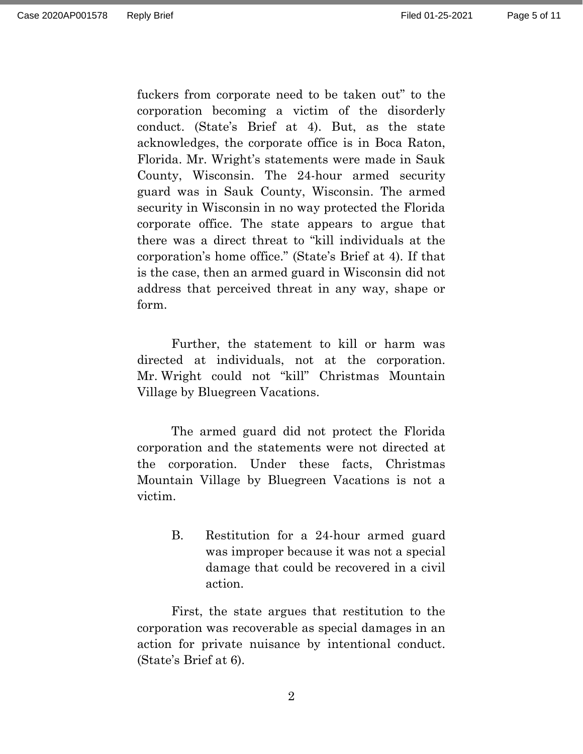fuckers from corporate need to be taken out" to the corporation becoming a victim of the disorderly conduct. (State's Brief at 4). But, as the state acknowledges, the corporate office is in Boca Raton, Florida. Mr. Wright's statements were made in Sauk County, Wisconsin. The 24-hour armed security guard was in Sauk County, Wisconsin. The armed security in Wisconsin in no way protected the Florida corporate office. The state appears to argue that there was a direct threat to "kill individuals at the corporation's home office." (State's Brief at 4). If that is the case, then an armed guard in Wisconsin did not address that perceived threat in any way, shape or form.

Further, the statement to kill or harm was directed at individuals, not at the corporation. Mr. Wright could not "kill" Christmas Mountain Village by Bluegreen Vacations.

The armed guard did not protect the Florida corporation and the statements were not directed at the corporation. Under these facts, Christmas Mountain Village by Bluegreen Vacations is not a victim.

> <span id="page-4-0"></span>B. Restitution for a 24-hour armed guard was improper because it was not a special damage that could be recovered in a civil action.

First, the state argues that restitution to the corporation was recoverable as special damages in an action for private nuisance by intentional conduct. (State's Brief at 6).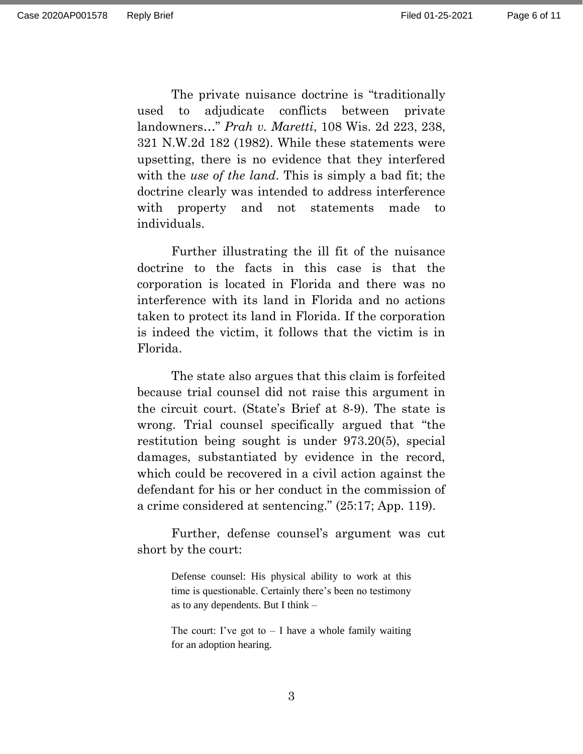The private nuisance doctrine is "traditionally used to adjudicate conflicts between private landowners…" *Prah v. Maretti*, 108 Wis. 2d 223, 238, 321 N.W.2d 182 (1982). While these statements were upsetting, there is no evidence that they interfered with the *use of the land*. This is simply a bad fit; the doctrine clearly was intended to address interference with property and not statements made to individuals.

Further illustrating the ill fit of the nuisance doctrine to the facts in this case is that the corporation is located in Florida and there was no interference with its land in Florida and no actions taken to protect its land in Florida. If the corporation is indeed the victim, it follows that the victim is in Florida.

The state also argues that this claim is forfeited because trial counsel did not raise this argument in the circuit court. (State's Brief at 8-9). The state is wrong. Trial counsel specifically argued that "the restitution being sought is under 973.20(5), special damages, substantiated by evidence in the record, which could be recovered in a civil action against the defendant for his or her conduct in the commission of a crime considered at sentencing." (25:17; App. 119).

Further, defense counsel's argument was cut short by the court:

> Defense counsel: His physical ability to work at this time is questionable. Certainly there's been no testimony as to any dependents. But I think –

> The court: I've got to  $-$  I have a whole family waiting for an adoption hearing.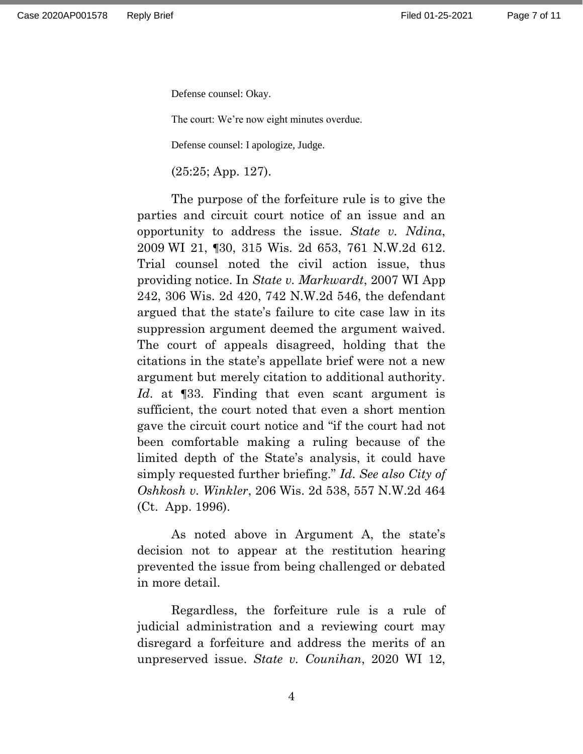Defense counsel: Okay.

The court: We're now eight minutes overdue.

Defense counsel: I apologize, Judge.

(25:25; App. 127).

The purpose of the forfeiture rule is to give the parties and circuit court notice of an issue and an opportunity to address the issue. *State v. Ndina*, 2009 WI 21, ¶30, 315 Wis. 2d 653, 761 N.W.2d 612. Trial counsel noted the civil action issue, thus providing notice. In *State v. Markwardt*, 2007 WI App 242, 306 Wis. 2d 420, 742 N.W.2d 546, the defendant argued that the state's failure to cite case law in its suppression argument deemed the argument waived. The court of appeals disagreed, holding that the citations in the state's appellate brief were not a new argument but merely citation to additional authority. *Id*. at ¶33. Finding that even scant argument is sufficient, the court noted that even a short mention gave the circuit court notice and "if the court had not been comfortable making a ruling because of the limited depth of the State's analysis, it could have simply requested further briefing." *Id*. *See also City of Oshkosh v. Winkler*, 206 Wis. 2d 538, 557 N.W.2d 464 (Ct. App. 1996).

As noted above in Argument A, the state's decision not to appear at the restitution hearing prevented the issue from being challenged or debated in more detail.

Regardless, the forfeiture rule is a rule of judicial administration and a reviewing court may disregard a forfeiture and address the merits of an unpreserved issue. *State v. Counihan*, 2020 WI 12,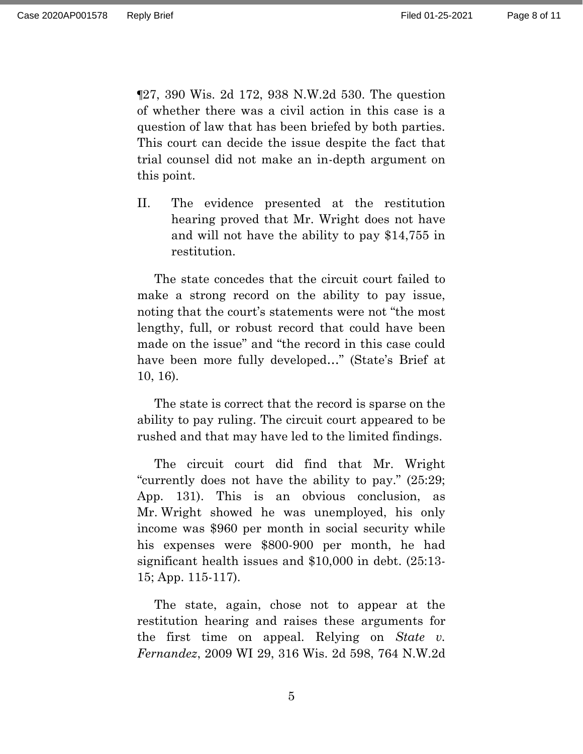¶27, 390 Wis. 2d 172, 938 N.W.2d 530. The question of whether there was a civil action in this case is a question of law that has been briefed by both parties. This court can decide the issue despite the fact that trial counsel did not make an in-depth argument on this point.

<span id="page-7-0"></span>II. The evidence presented at the restitution hearing proved that Mr. Wright does not have and will not have the ability to pay \$14,755 in restitution.

The state concedes that the circuit court failed to make a strong record on the ability to pay issue, noting that the court's statements were not "the most lengthy, full, or robust record that could have been made on the issue" and "the record in this case could have been more fully developed…" (State's Brief at 10, 16).

The state is correct that the record is sparse on the ability to pay ruling. The circuit court appeared to be rushed and that may have led to the limited findings.

The circuit court did find that Mr. Wright "currently does not have the ability to pay." (25:29; App. 131). This is an obvious conclusion, as Mr. Wright showed he was unemployed, his only income was \$960 per month in social security while his expenses were \$800-900 per month, he had significant health issues and \$10,000 in debt. (25:13- 15; App. 115-117).

The state, again, chose not to appear at the restitution hearing and raises these arguments for the first time on appeal. Relying on *State v. Fernandez*, 2009 WI 29, 316 Wis. 2d 598, 764 N.W.2d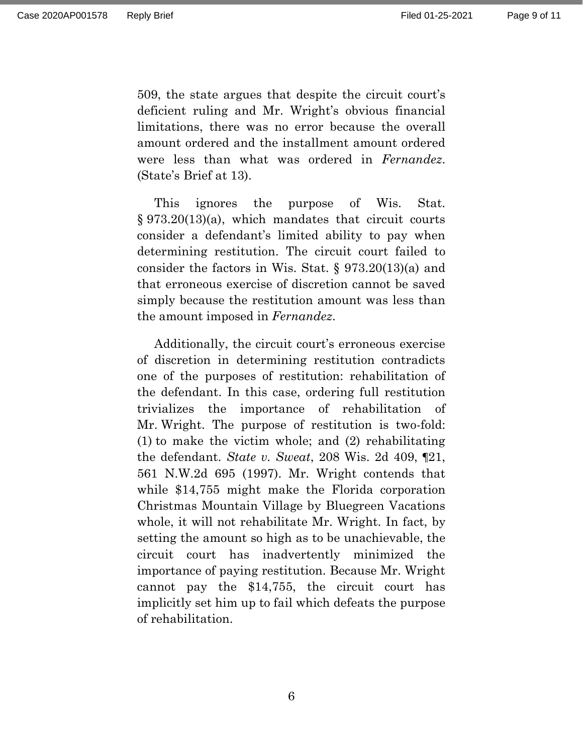509, the state argues that despite the circuit court's deficient ruling and Mr. Wright's obvious financial limitations, there was no error because the overall amount ordered and the installment amount ordered were less than what was ordered in *Fernandez*. (State's Brief at 13).

This ignores the purpose of Wis. Stat. § 973.20(13)(a), which mandates that circuit courts consider a defendant's limited ability to pay when determining restitution. The circuit court failed to consider the factors in Wis. Stat. § 973.20(13)(a) and that erroneous exercise of discretion cannot be saved simply because the restitution amount was less than the amount imposed in *Fernandez*.

Additionally, the circuit court's erroneous exercise of discretion in determining restitution contradicts one of the purposes of restitution: rehabilitation of the defendant. In this case, ordering full restitution trivializes the importance of rehabilitation of Mr. Wright. The purpose of restitution is two-fold: (1) to make the victim whole; and (2) rehabilitating the defendant. *State v. Sweat*, 208 Wis. 2d 409, ¶21, 561 N.W.2d 695 (1997). Mr. Wright contends that while \$14,755 might make the Florida corporation Christmas Mountain Village by Bluegreen Vacations whole, it will not rehabilitate Mr. Wright. In fact, by setting the amount so high as to be unachievable, the circuit court has inadvertently minimized the importance of paying restitution. Because Mr. Wright cannot pay the \$14,755, the circuit court has implicitly set him up to fail which defeats the purpose of rehabilitation.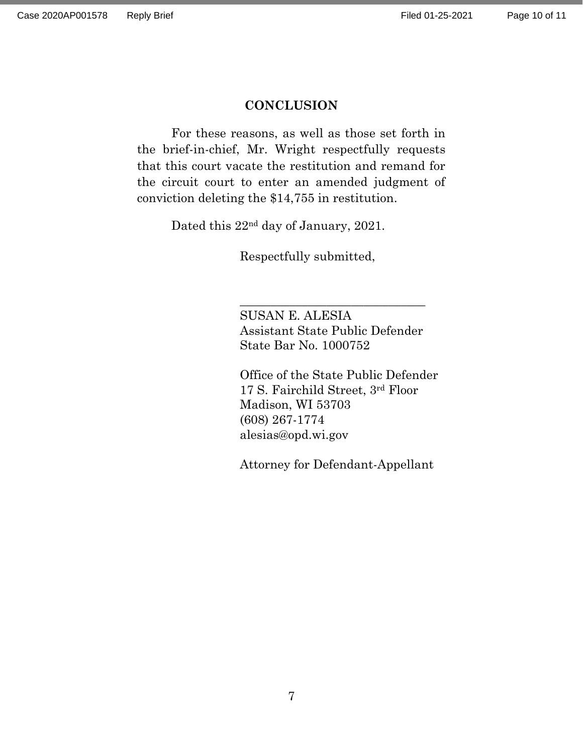### **CONCLUSION**

<span id="page-9-0"></span>For these reasons, as well as those set forth in the brief-in-chief, Mr. Wright respectfully requests that this court vacate the restitution and remand for the circuit court to enter an amended judgment of conviction deleting the \$14,755 in restitution.

Dated this 22nd day of January, 2021.

Respectfully submitted,

SUSAN E. ALESIA Assistant State Public Defender State Bar No. 1000752

\_\_\_\_\_\_\_\_\_\_\_\_\_\_\_\_\_\_\_\_\_\_\_\_\_\_\_\_\_\_

Office of the State Public Defender 17 S. Fairchild Street, 3rd Floor Madison, WI 53703 (608) 267-1774 alesias@opd.wi.gov

Attorney for Defendant-Appellant